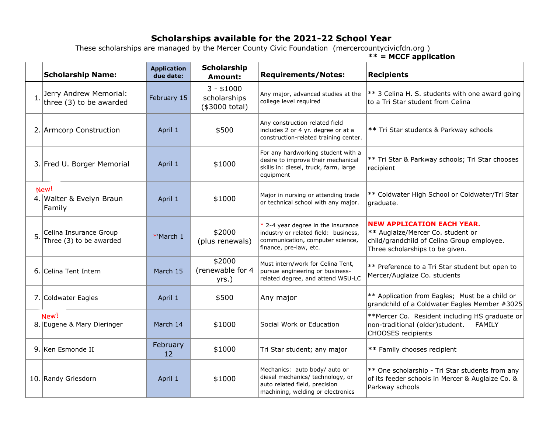## **Scholarships available for the 2021-22 School Year**

 These scholarships are managed by the Mercer County Civic Foundation (mercercountycivicfdn.org ) **\*\* = MCCF application** 

**Scholarship Application Scholarship Name: Amount: Requirements/Notes: Recipients due date:** 3 - \$1000  $1.$  Jerry Andrew Memorial: \*\* 3 Celina H. S. students with one award going Any major, advanced studies at the three  $(3)$  to be awarded February 15 scholarships college level required to a Tri Star student from Celina (\$3000 total) Any construction related field 2. Armcorp Construction **April 1** \$500 includes 2 or 4 yr. degree or at a **\*\*** Tri Star students & Parkway schools construction-related training center. For any hardworking student with a \*\* Tri Star & Parkway schools; Tri Star chooses desire to improve their mechanical 3. Fred U. Borger Memorial | April 1 | \$1000 skills in: diesel, truck, farm, large recipient equipment New! \*\* Coldwater High School or Coldwater/Tri Star April 1 \$1000 Major in nursing or attending trade 4. Walter & Evelyn Braun or technical school with any major. graduate. Family **NEW APPLICATION EACH YEAR.**   $*$  2-4 year degree in the insurance 5. Celina Insurance Group Celina Insurance Group  $\begin{array}{c|c} \text{7} & \text{8} & \text{8} \\ \text{8} & \text{7} & \text{8} \\ \text{8} & \text{8} & \text{9} \\ \text{9} & \text{10} & \text{11} \\ \text{11} & \text{12} & \text{13} \\ \text{14} & \text{15} & \text{16} \\ \text{16} & \text{17} & \text{18} \\ \text{18} & \text{19} & \text{19} \\ \text{19} & \text{19} & \text{19} \\ \text{10} & \text$ industry or related field: business, **\*\*** Auglaize/Mercer Co. student or communication, computer science, (plus renewals) child/grandchild of Celina Group employee. finance, pre-law, etc. Three scholarships to be given. \$2000 Must intern/work for Celina Tent, \*\* Preference to a Tri Star student but open to (renewable for 4 6. Celina Tent Intern March 15 pursue engineering or business-Mercer/Auglaize Co. students related degree, and attend WSU-LC yrs.) 7. Coldwater Eagles **April 1** April 1 \$500 Any major **1** \*\* Application from Eagles; Must be a child or grandchild of a Coldwater Eagles Member #3025 New! \*\*Mercer Co. Resident including HS graduate or 8. Eugene & Mary Dieringer | March 14 | \$1000 | Social Work or Education non-traditional (older)student. FAMILY CHOOSES recipients 9. Ken Esmonde II February <sup>12</sup> \$1000 Tri Star student; any major **\*\*** Family chooses recipient Mechanics: auto body/ auto or \*\* One scholarship - Tri Star students from any diesel mechanics/ technology, or 10. Randy Griesdorn **April 1** \$1000 of its feeder schools in Mercer & Auglaize Co. & auto related field, precision Parkway schoolsmachining, welding or electronics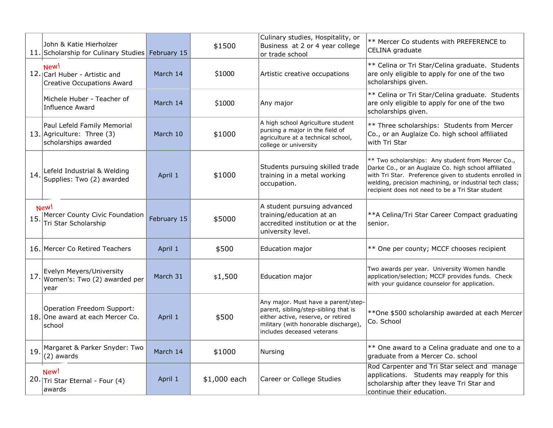|     | John & Katie Hierholzer<br>11. Scholarship for Culinary Studies February 15       |             | \$1500       | Culinary studies, Hospitality, or<br>Business at 2 or 4 year college<br>or trade school                                                                                                 | ** Mercer Co students with PREFERENCE to<br>CELINA graduate                                                                                                                                                                                                                         |
|-----|-----------------------------------------------------------------------------------|-------------|--------------|-----------------------------------------------------------------------------------------------------------------------------------------------------------------------------------------|-------------------------------------------------------------------------------------------------------------------------------------------------------------------------------------------------------------------------------------------------------------------------------------|
|     | New!<br>12. Carl Huber - Artistic and<br><b>Creative Occupations Award</b>        | March 14    | \$1000       | Artistic creative occupations                                                                                                                                                           | ** Celina or Tri Star/Celina graduate. Students<br>are only eligible to apply for one of the two<br>scholarships given.                                                                                                                                                             |
|     | Michele Huber - Teacher of<br><b>Influence Award</b>                              | March 14    | \$1000       | Any major                                                                                                                                                                               | ** Celina or Tri Star/Celina graduate. Students<br>are only eligible to apply for one of the two<br>scholarships given.                                                                                                                                                             |
|     | Paul Lefeld Family Memorial<br>13. Agriculture: Three (3)<br>scholarships awarded | March 10    | \$1000       | A high school Agriculture student<br>pursing a major in the field of<br>agriculture at a technical school,<br>college or university                                                     | ** Three scholarships: Students from Mercer<br>Co., or an Auglaize Co. high school affiliated<br>with Tri Star                                                                                                                                                                      |
| 14. | Lefeld Industrial & Welding<br>Supplies: Two (2) awarded                          | April 1     | \$1000       | Students pursuing skilled trade<br>training in a metal working<br>occupation.                                                                                                           | ** Two scholarships: Any student from Mercer Co.,<br>Darke Co., or an Auglaize Co. high school affiliated<br>with Tri Star. Preference given to students enrolled in<br>welding, precision machining, or industrial tech class;<br>recipient does not need to be a Tri Star student |
|     | New!<br>Mercer County Civic Foundation<br>Tri Star Scholarship                    | February 15 | \$5000       | A student pursuing advanced<br>training/education at an<br>accredited institution or at the<br>university level.                                                                        | ** A Celina/Tri Star Career Compact graduating<br>senior.                                                                                                                                                                                                                           |
|     | 16. Mercer Co Retired Teachers                                                    | April 1     | \$500        | Education major                                                                                                                                                                         | ** One per county; MCCF chooses recipient                                                                                                                                                                                                                                           |
| 17. | Evelyn Meyers/University<br>Women's: Two (2) awarded per<br>year                  | March 31    | \$1,500      | Education major                                                                                                                                                                         | Two awards per year. University Women handle<br>application/selection; MCCF provides funds. Check<br>with your guidance counselor for application.                                                                                                                                  |
|     | Operation Freedom Support:<br>18. One award at each Mercer Co.<br>school          | April 1     | \$500        | Any major. Must have a parent/step-<br>parent, sibling/step-sibling that is<br>either active, reserve, or retired<br>military (with honorable discharge),<br>includes deceased veterans | ** One \$500 scholarship awarded at each Mercer<br>Co. School                                                                                                                                                                                                                       |
| 19  | Margaret & Parker Snyder: Two<br>(2) awards                                       | March 14    | \$1000       | Nursing                                                                                                                                                                                 | ** One award to a Celina graduate and one to a<br>graduate from a Mercer Co. school                                                                                                                                                                                                 |
|     | New!<br>20. Tri Star Eternal - Four (4)<br>awards                                 | April 1     | \$1,000 each | Career or College Studies                                                                                                                                                               | Rod Carpenter and Tri Star select and manage<br>applications. Students may reapply for this<br>scholarship after they leave Tri Star and<br>continue their education.                                                                                                               |